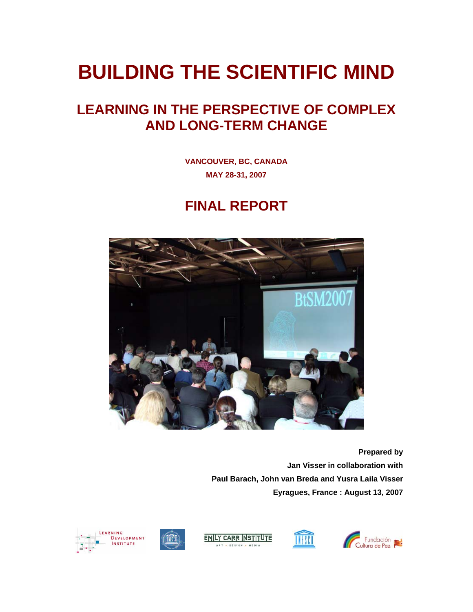# **BUILDING THE SCIENTIFIC MIND**

## **LEARNING IN THE PERSPECTIVE OF COMPLEX AND LONG-TERM CHANGE**

**VANCOUVER, BC, CANADA MAY 28-31, 2007** 

### **FINAL REPORT**



**Prepared by Jan Visser in collaboration with Paul Barach, John van Breda and Yusra Laila Visser Eyragues, France : August 13, 2007** 



**THE SEA** 





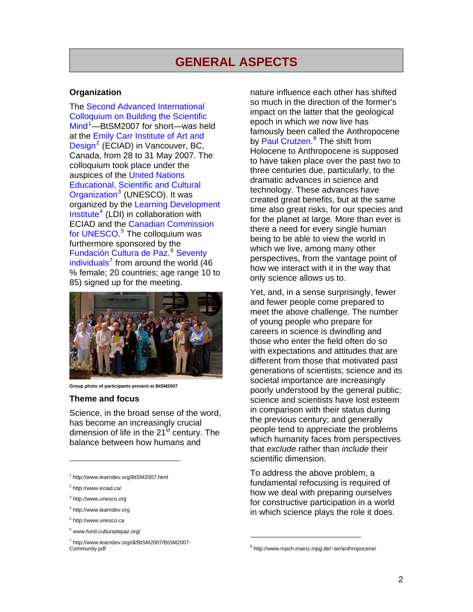### **GENERAL ASPECTS**

#### **Organization**

The [Second Advanced International](http://www.learndev.org/BtSM2007.html)  [Colloquium on Building the Scientific](http://www.learndev.org/BtSM2007.html)  [Mind](http://www.learndev.org/BtSM2007.html)<sup>[1](#page-1-0)</sup>—BtSM2007 for short—was held at the [Emily Carr Institute of Art and](http://www.eciad.ca/)  [Design](http://www.eciad.ca/)<sup>[2](#page-1-1)</sup> (ECIAD) in Vancouver, BC, Canada, from 28 to 31 May 2007. The colloquium took place under the auspices of the [United Nations](http://www.unesco.org/)  [Educational, Scientific and Cultural](http://www.unesco.org/)  [Organization](http://www.unesco.org/)<sup>[3](#page-1-2)</sup> (UNESCO). It was organized by the [Learning Development](http://www.learndev.org/)   $Institute<sup>4</sup>$  $Institute<sup>4</sup>$  $Institute<sup>4</sup>$  $Institute<sup>4</sup>$  (LDI) in collaboration with [ECIAD](http://www.eciad.ca/) and the [Canadian Commission](http://www.unesco.ca/)  [for UNESCO.](http://www.unesco.ca/)<sup>[5](#page-1-4)</sup> The colloquium was furthermore sponsored by the [Fundación Cultura de Paz](http://www.fund-culturadepaz.org/)<sup>[6](#page-1-5)</sup> Seventy [individuals](http://www.learndev.org/dl/BtSM2007/BtSM2007-Community.pdf)<sup>[7](#page-1-6)</sup> from around the world (46 % female; 20 countries; age range 10 to 85) signed up for the meeting.



**Group photo of participants present at BtSM2007** 

#### **Theme and focus**

Science, in the broad sense of the word, has become an increasingly crucial dimension of life in the 21<sup>st</sup> century. The balance between how humans and

-

<span id="page-1-2"></span><span id="page-1-1"></span><sup>3</sup> http://www.unesco.org

nature influence each other has shifted so much in the direction of the former's impact on the latter that the geological epoch in which we now live has famously been called the Anthropocene by [Paul Crutzen](http://www.mpch-mainz.mpg.de/%7Eair/anthropocene/).<sup>[8](#page-1-7)</sup> The shift from Holocene to Anthropocene is supposed to have taken place over the past two to three centuries due, particularly, to the dramatic advances in science and technology. These advances have created great benefits, but at the same time also great risks, for our species and for the planet at large. More than ever is there a need for every single human being to be able to view the world in which we live, among many other perspectives, from the vantage point of how we interact with it in the way that only science allows us to.

Yet, and, in a sense surprisingly, fewer and fewer people come prepared to meet the above challenge. The number of young people who prepare for careers in science is dwindling and those who enter the field often do so with expectations and attitudes that are different from those that motivated past generations of scientists; science and its societal importance are increasingly poorly understood by the general public; science and scientists have lost esteem in comparison with their status during the previous century; and generally people tend to appreciate the problems which humanity faces from perspectives that *exclude* rather than *include* their scientific dimension.

To address the above problem, a fundamental refocusing is required of how we deal with preparing ourselves for constructive participation in a world in which science plays the role it does.

<span id="page-1-0"></span><sup>1</sup> http://www.learndev.org/BtSM2007.html

<sup>&</sup>lt;sup>2</sup> http://www.eciad.ca/

<sup>4</sup> http://www.learndev.org

<span id="page-1-4"></span><span id="page-1-3"></span><sup>&</sup>lt;sup>5</sup> http://www.unesco.ca

<sup>&</sup>lt;sup>6</sup> www.fund-culturadepaz.org/

<span id="page-1-7"></span><span id="page-1-6"></span><span id="page-1-5"></span><sup>7</sup> http://www.learndev.org/dl/BtSM2007/BtSM2007- Community.pdf

<sup>&</sup>lt;sup>8</sup> http://www.mpch-mainz.mpg.de/~air/anthropocene/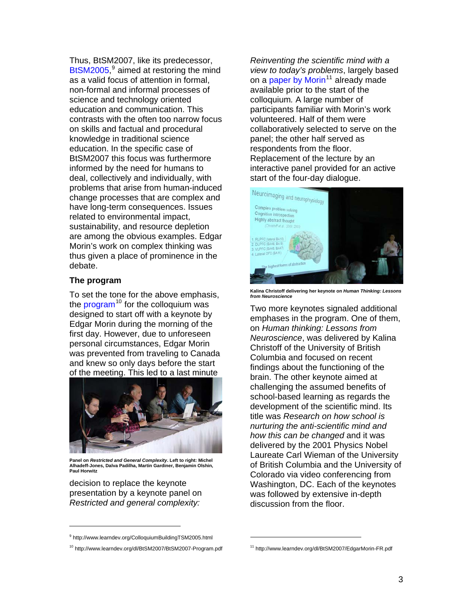Thus, BtSM2007, like its predecessor, [BtSM2005](http://www.learndev.org/ColloquiumBuildingTSM2005.html),<sup>[9](#page-2-0)</sup> aimed at restoring the mind as a valid focus of attention in formal, non-formal and informal processes of science and technology oriented education and communication. This contrasts with the often too narrow focus on skills and factual and procedural knowledge in traditional science education. In the specific case of BtSM2007 this focus was furthermore informed by the need for humans to deal, collectively and individually, with problems that arise from human-induced change processes that are complex and have long-term consequences. Issues related to environmental impact, sustainability, and resource depletion are among the obvious examples. Edgar Morin's work on complex thinking was thus given a place of prominence in the debate.

#### **The program**

To set the tone for the above emphasis, the **program**<sup>[10](#page-2-1)</sup> for the colloquium was designed to start off with a keynote by Edgar Morin during the morning of the first day. However, due to unforeseen personal circumstances, Edgar Morin was prevented from traveling to Canada and knew so only days before the start of the meeting. This led to a last minute



**Panel on** *Restricted and General Complexity***. Left to right: Michel Alhadeff-Jones, Dalva Padilha, Martin Gardiner, Benjamin Olshin, Paul Horwitz** 

decision to replace the keynote presentation by a keynote panel on *Restricted and general complexity:* 

*Reinventing the scientific mind with a view to today's problems*, largely based on a [paper by Morin](http://www.learndev.org/dl/BtSM2007/EdgarMorin-FR.pdf)<sup>[11](#page-2-1)</sup> already made available prior to the start of the colloquium*.* A large number of participants familiar with Morin's work volunteered. Half of them were collaboratively selected to serve on the panel; the other half served as respondents from the floor. Replacement of the lecture by an interactive panel provided for an active start of the four-day dialogue.



**Kalina Christoff delivering her keynote on** *Human Thinking: Lessons from Neuroscience*

Two more keynotes signaled additional emphases in the program. One of them, on *Human thinking: Lessons from Neuroscience*, was delivered by Kalina Christoff of the University of British Columbia and focused on recent findings about the functioning of the brain. The other keynote aimed at challenging the assumed benefits of school-based learning as regards the development of the scientific mind. Its title was *Research on how school is nurturing the anti-scientific mind and how this can be changed* and it was delivered by the 2001 Physics Nobel Laureate Carl Wieman of the University of British Columbia and the University of Colorado via video conferencing from Washington, DC. Each of the keynotes was followed by extensive in-depth discussion from the floor.

 $\overline{a}$ 

<span id="page-2-0"></span><sup>&</sup>lt;sup>9</sup> http://www.learndev.org/ColloquiumBuildingTSM2005.html

<span id="page-2-1"></span><sup>10</sup> http://www.learndev.org/dl/BtSM2007/BtSM2007-Program.pdf

<sup>11</sup> http://www.learndev.org/dl/BtSM2007/EdgarMorin-FR.pdf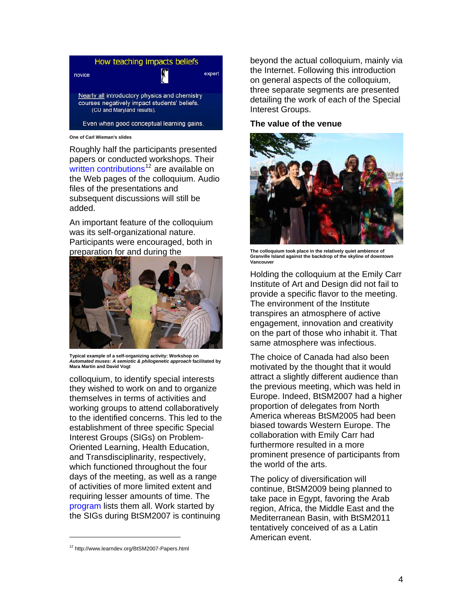

Roughly half the participants presented papers or conducted workshops. Their [written contributions](http://www.learndev.org/BtSM2007-Papers.html)<sup>[12](#page-3-0)</sup> are available on the Web pages of the colloquium. Audio files of the presentations and subsequent discussions will still be added.

An important feature of the colloquium was its self-organizational nature. Participants were encouraged, both in preparation for and during the **The colloquium took place in the relatively quiet ambience of** 



**Typical example of a self-organizing activity: Workshop on**  *Automated muses: A semiotic & philogenetic approach* **facilitated by Mara Martin and David Vogt** 

colloquium, to identify special interests they wished to work on and to organize themselves in terms of activities and working groups to attend collaboratively to the identified concerns. This led to the establishment of three specific Special Interest Groups (SIGs) on Problem-Oriented Learning, Health Education, and Transdisciplinarity, respectively, which functioned throughout the four days of the meeting, as well as a range of activities of more limited extent and requiring lesser amounts of time. The [program](http://www.learndev.org/dl/BtSM2007/BtSM2007-Program.pdf) lists them all. Work started by the SIGs during BtSM2007 is continuing

beyond the actual colloquium, mainly via the Internet. Following this introduction on general aspects of the colloquium, three separate segments are presented detailing the work of each of the Special Interest Groups.

#### **The value of the venue**



**Granville Island against the backdrop of the skyline of downtown Vancouver** 

Holding the colloquium at the Emily Carr Institute of Art and Design did not fail to provide a specific flavor to the meeting. The environment of the Institute transpires an atmosphere of active engagement, innovation and creativity on the part of those who inhabit it. That same atmosphere was infectious.

The choice of Canada had also been motivated by the thought that it would attract a slightly different audience than the previous meeting, which was held in Europe. Indeed, BtSM2007 had a higher proportion of delegates from North America whereas BtSM2005 had been biased towards Western Europe. The collaboration with Emily Carr had furthermore resulted in a more prominent presence of participants from the world of the arts.

The policy of diversification will continue, BtSM2009 being planned to take pace in Egypt, favoring the Arab region, Africa, the Middle East and the Mediterranean Basin, with BtSM2011 tentatively conceived of as a Latin American event.

<span id="page-3-0"></span><sup>12</sup> http://www.learndev.org/BtSM2007-Papers.html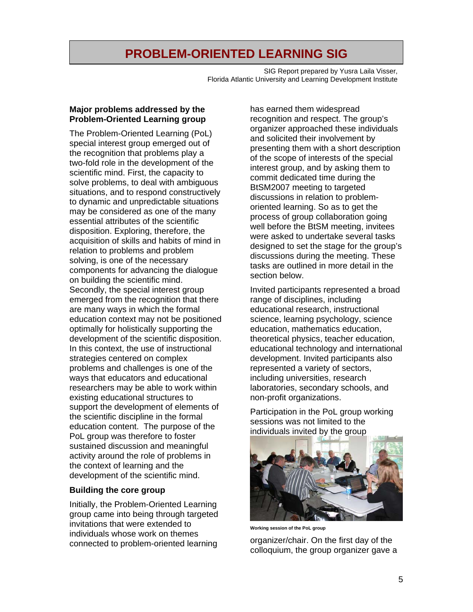### **PROBLEM-ORIENTED LEARNING SIG**

SIG Report prepared by Yusra Laila Visser, Florida Atlantic University and Learning Development Institute

#### **Major problems addressed by the Problem-Oriented Learning group**

The Problem-Oriented Learning (PoL) special interest group emerged out of the recognition that problems play a two-fold role in the development of the scientific mind. First, the capacity to solve problems, to deal with ambiguous situations, and to respond constructively to dynamic and unpredictable situations may be considered as one of the many essential attributes of the scientific disposition. Exploring, therefore, the acquisition of skills and habits of mind in relation to problems and problem solving, is one of the necessary components for advancing the dialogue on building the scientific mind. Secondly, the special interest group emerged from the recognition that there are many ways in which the formal education context may not be positioned optimally for holistically supporting the development of the scientific disposition. In this context, the use of instructional strategies centered on complex problems and challenges is one of the ways that educators and educational researchers may be able to work within existing educational structures to support the development of elements of the scientific discipline in the formal education content. The purpose of the PoL group was therefore to foster sustained discussion and meaningful activity around the role of problems in the context of learning and the development of the scientific mind.

#### **Building the core group**

Initially, the Problem-Oriented Learning group came into being through targeted invitations that were extended to individuals whose work on themes connected to problem-oriented learning

has earned them widespread recognition and respect. The group's organizer approached these individuals and solicited their involvement by presenting them with a short description of the scope of interests of the special interest group, and by asking them to commit dedicated time during the BtSM2007 meeting to targeted discussions in relation to problemoriented learning. So as to get the process of group collaboration going well before the BtSM meeting, invitees were asked to undertake several tasks designed to set the stage for the group's discussions during the meeting. These tasks are outlined in more detail in the section below.

Invited participants represented a broad range of disciplines, including educational research, instructional science, learning psychology, science education, mathematics education, theoretical physics, teacher education, educational technology and international development. Invited participants also represented a variety of sectors, including universities, research laboratories, secondary schools, and non-profit organizations.

Participation in the PoL group working sessions was not limited to the individuals invited by the group



**Working session of the PoL group** 

organizer/chair. On the first day of the colloquium, the group organizer gave a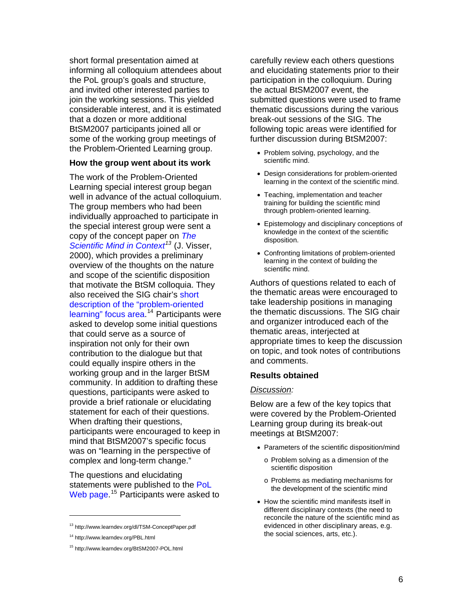short formal presentation aimed at informing all colloquium attendees about the PoL group's goals and structure, and invited other interested parties to join the working sessions. This yielded considerable interest, and it is estimated that a dozen or more additional BtSM2007 participants joined all or some of the working group meetings of the Problem-Oriented Learning group.

#### **How the group went about its work**

The work of the Problem-Oriented Learning special interest group began well in advance of the actual colloquium. The group members who had been individually approached to participate in the special interest group were sent a copy of the concept paper on *[The](http://www.learndev.org/dl/TSM-ConceptPaper.pdf)  [Scientific Mind in Context](http://www.learndev.org/dl/TSM-ConceptPaper.pdf)[13](#page-5-0)* (J. Visser, 2000), which provides a preliminary overview of the thoughts on the nature and scope of the scientific disposition that motivate the BtSM colloquia. They also received the SIG chair's short [description of the "problem-oriented](http://www.learndev.org/PBL.html)  [learning" focus area](http://www.learndev.org/PBL.html) <sup>[14](#page-5-1)</sup> Participants were asked to develop some initial questions that could serve as a source of inspiration not only for their own contribution to the dialogue but that could equally inspire others in the working group and in the larger BtSM community. In addition to drafting these questions, participants were asked to provide a brief rationale or elucidating statement for each of their questions. When drafting their questions, participants were encouraged to keep in mind that BtSM2007's specific focus was on "learning in the perspective of complex and long-term change."

The questions and elucidating statements were published to the PoL [Web page](http://www.learndev.org/BtSM2007-POL.html).<sup>[15](#page-5-2)</sup> Participants were asked to

-

carefully review each others questions and elucidating statements prior to their participation in the colloquium. During the actual BtSM2007 event, the submitted questions were used to frame thematic discussions during the various break-out sessions of the SIG. The following topic areas were identified for further discussion during BtSM2007:

- Problem solving, psychology, and the scientific mind.
- Design considerations for problem-oriented learning in the context of the scientific mind.
- Teaching, implementation and teacher training for building the scientific mind through problem-oriented learning.
- Epistemology and disciplinary conceptions of knowledge in the context of the scientific disposition.
- Confronting limitations of problem-oriented learning in the context of building the scientific mind.

Authors of questions related to each of the thematic areas were encouraged to take leadership positions in managing the thematic discussions. The SIG chair and organizer introduced each of the thematic areas, interjected at appropriate times to keep the discussion on topic, and took notes of contributions and comments.

#### **Results obtained**

#### *Discussion:*

Below are a few of the key topics that were covered by the Problem-Oriented Learning group during its break-out meetings at BtSM2007:

- Parameters of the scientific disposition/mind
	- o Problem solving as a dimension of the scientific disposition
	- o Problems as mediating mechanisms for the development of the scientific mind
- How the scientific mind manifests itself in different disciplinary contexts (the need to reconcile the nature of the scientific mind as evidenced in other disciplinary areas, e.g. the social sciences, arts, etc.).

<sup>13</sup> http://www.learndev.org/dl/TSM-ConceptPaper.pdf

<span id="page-5-1"></span><span id="page-5-0"></span><sup>14</sup> http://www.learndev.org/PBL.html

<span id="page-5-2"></span><sup>15</sup> http://www.learndev.org/BtSM2007-POL.html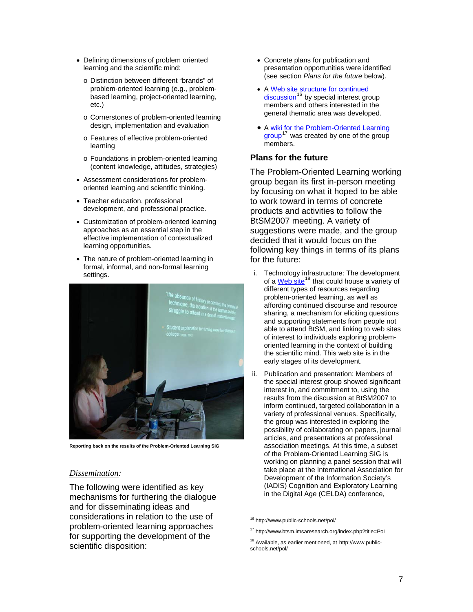- Defining dimensions of problem oriented learning and the scientific mind:
	- o Distinction between different "brands" of problem-oriented learning (e.g., problembased learning, project-oriented learning, etc.)
	- o Cornerstones of problem-oriented learning design, implementation and evaluation
	- o Features of effective problem-oriented learning
	- o Foundations in problem-oriented learning (content knowledge, attitudes, strategies)
- Assessment considerations for problemoriented learning and scientific thinking.
- Teacher education, professional development, and professional practice.
- Customization of problem-oriented learning approaches as an essential step in the effective implementation of contextualized learning opportunities.
- The nature of problem-oriented learning in formal, informal, and non-formal learning settings.



**Reporting back on the results of the Problem-Oriented Learning SIG** 

#### *Dissemination:*

<span id="page-6-2"></span><span id="page-6-1"></span><span id="page-6-0"></span>The following were identified as key mechanisms for furthering the dialogue and for disseminating ideas and considerations in relation to the use of problem-oriented learning approaches for supporting the development of the scientific disposition:

- Concrete plans for publication and presentation opportunities were identified (see section *Plans for the future* below).
- A [Web site structure for continued](http://www.public-schools.net/pol/)  [discussion](http://www.public-schools.net/pol/)<sup>[16](#page-6-0)</sup> by special interest group members and others interested in the general thematic area was developed.
- A [wiki for the Problem-Oriented Learning](http://www.btsm.imsaresearch.org/index.php?title=PoL)   $group<sup>17</sup>$  $group<sup>17</sup>$  $group<sup>17</sup>$  $group<sup>17</sup>$  was created by one of the group members.

#### **Plans for the future**

The Problem-Oriented Learning working group began its first in-person meeting by focusing on what it hoped to be able to work toward in terms of concrete products and activities to follow the BtSM2007 meeting. A variety of suggestions were made, and the group decided that it would focus on the following key things in terms of its plans for the future:

- i. Technology infrastructure: The development of a [Web site](http://www.public-schools.net/pol/)<sup>[18](#page-6-2)</sup> that could house a variety of different types of resources regarding problem-oriented learning, as well as affording continued discourse and resource sharing, a mechanism for eliciting questions and supporting statements from people not able to attend BtSM, and linking to web sites of interest to individuals exploring problemoriented learning in the context of building the scientific mind. This web site is in the early stages of its development.
- ii. Publication and presentation: Members of the special interest group showed significant interest in, and commitment to, using the results from the discussion at BtSM2007 to inform continued, targeted collaboration in a variety of professional venues. Specifically, the group was interested in exploring the possibility of collaborating on papers, journal articles, and presentations at professional association meetings. At this time, a subset of the Problem-Oriented Learning SIG is working on planning a panel session that will take place at the International Association for Development of the Information Society's (IADIS) Cognition and Exploratory Learning in the Digital Age (CELDA) conference,

 $\overline{a}$ 

<sup>16</sup> http://www.public-schools.net/pol/

<sup>17</sup> http://www.btsm.imsaresearch.org/index.php?title=PoL

<sup>18</sup> Available, as earlier mentioned, at http://www.publicschools.net/pol/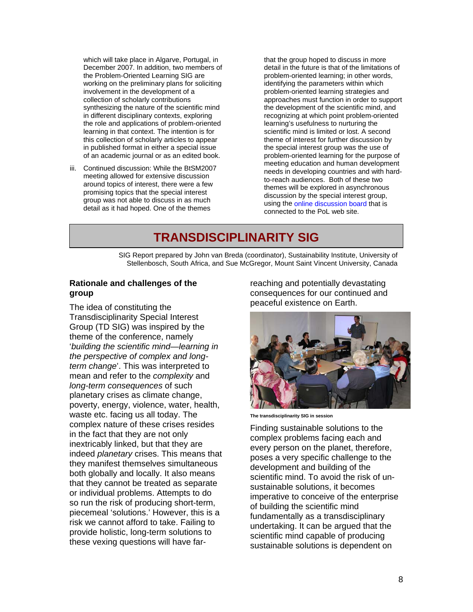which will take place in Algarve, Portugal, in December 2007. In addition, two members of the Problem-Oriented Learning SIG are working on the preliminary plans for soliciting involvement in the development of a collection of scholarly contributions synthesizing the nature of the scientific mind in different disciplinary contexts, exploring the role and applications of problem-oriented learning in that context. The intention is for this collection of scholarly articles to appear in published format in either a special issue of an academic journal or as an edited book.

iii. Continued discussion: While the BtSM2007 meeting allowed for extensive discussion around topics of interest, there were a few promising topics that the special interest group was not able to discuss in as much detail as it had hoped. One of the themes

that the group hoped to discuss in more detail in the future is that of the limitations of problem-oriented learning; in other words, identifying the parameters within which problem-oriented learning strategies and approaches must function in order to support the development of the scientific mind, and recognizing at which point problem-oriented learning's usefulness to nurturing the scientific mind is limited or lost. A second theme of interest for further discussion by the special interest group was the use of problem-oriented learning for the purpose of meeting education and human development needs in developing countries and with hardto-reach audiences. Both of these two themes will be explored in asynchronous discussion by the special interest group, using the [online discussion board](http://www.public-schools.net/pol/) that is connected to the PoL web site.

### **TRANSDISCIPLINARITY SIG**

SIG Report prepared by John van Breda (coordinator), Sustainability Institute, University of Stellenbosch, South Africa, and Sue McGregor, Mount Saint Vincent University, Canada

#### **Rationale and challenges of the group**

The idea of constituting the Transdisciplinarity Special Interest Group (TD SIG) was inspired by the theme of the conference, namely '*building the scientific mind—learning in the perspective of complex and longterm change*'. This was interpreted to mean and refer to the *complexity* and *long-term consequences* of such planetary crises as climate change, poverty, energy, violence, water, health, waste etc. facing us all today. The complex nature of these crises resides in the fact that they are not only inextricably linked, but that they are indeed *planetary* crises. This means that they manifest themselves simultaneous both globally and locally. It also means that they cannot be treated as separate or individual problems. Attempts to do so run the risk of producing short-term, piecemeal 'solutions.' However, this is a risk we cannot afford to take. Failing to provide holistic, long-term solutions to these vexing questions will have farreaching and potentially devastating consequences for our continued and peaceful existence on Earth.



**The transdisciplinarity SIG in session** 

Finding sustainable solutions to the complex problems facing each and every person on the planet, therefore, poses a very specific challenge to the development and building of the scientific mind. To avoid the risk of unsustainable solutions, it becomes imperative to conceive of the enterprise of building the scientific mind fundamentally as a transdisciplinary undertaking. It can be argued that the scientific mind capable of producing sustainable solutions is dependent on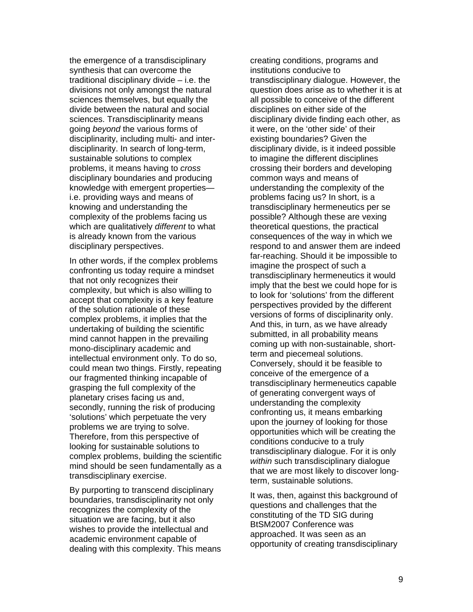the emergence of a transdisciplinary synthesis that can overcome the traditional disciplinary divide – i.e. the divisions not only amongst the natural sciences themselves, but equally the divide between the natural and social sciences. Transdisciplinarity means going *beyond* the various forms of disciplinarity, including multi- and interdisciplinarity. In search of long-term, sustainable solutions to complex problems, it means having to *cross* disciplinary boundaries and producing knowledge with emergent properties i.e. providing ways and means of knowing and understanding the complexity of the problems facing us which are qualitatively *different* to what is already known from the various disciplinary perspectives.

In other words, if the complex problems confronting us today require a mindset that not only recognizes their complexity, but which is also willing to accept that complexity is a key feature of the solution rationale of these complex problems, it implies that the undertaking of building the scientific mind cannot happen in the prevailing mono-disciplinary academic and intellectual environment only. To do so, could mean two things. Firstly, repeating our fragmented thinking incapable of grasping the full complexity of the planetary crises facing us and, secondly, running the risk of producing 'solutions' which perpetuate the very problems we are trying to solve. Therefore, from this perspective of looking for sustainable solutions to complex problems, building the scientific mind should be seen fundamentally as a transdisciplinary exercise.

By purporting to transcend disciplinary boundaries, transdisciplinarity not only recognizes the complexity of the situation we are facing, but it also wishes to provide the intellectual and academic environment capable of dealing with this complexity. This means creating conditions, programs and institutions conducive to transdisciplinary dialogue. However, the question does arise as to whether it is at all possible to conceive of the different disciplines on either side of the disciplinary divide finding each other, as it were, on the 'other side' of their existing boundaries? Given the disciplinary divide, is it indeed possible to imagine the different disciplines crossing their borders and developing common ways and means of understanding the complexity of the problems facing us? In short, is a transdisciplinary hermeneutics per se possible? Although these are vexing theoretical questions, the practical consequences of the way in which we respond to and answer them are indeed far-reaching. Should it be impossible to imagine the prospect of such a transdisciplinary hermeneutics it would imply that the best we could hope for is to look for 'solutions' from the different perspectives provided by the different versions of forms of disciplinarity only. And this, in turn, as we have already submitted, in all probability means coming up with non-sustainable, shortterm and piecemeal solutions. Conversely, should it be feasible to conceive of the emergence of a transdisciplinary hermeneutics capable of generating convergent ways of understanding the complexity confronting us, it means embarking upon the journey of looking for those opportunities which will be creating the conditions conducive to a truly transdisciplinary dialogue. For it is only *within* such transdisciplinary dialogue that we are most likely to discover longterm, sustainable solutions.

It was, then, against this background of questions and challenges that the constituting of the TD SIG during BtSM2007 Conference was approached. It was seen as an opportunity of creating transdisciplinary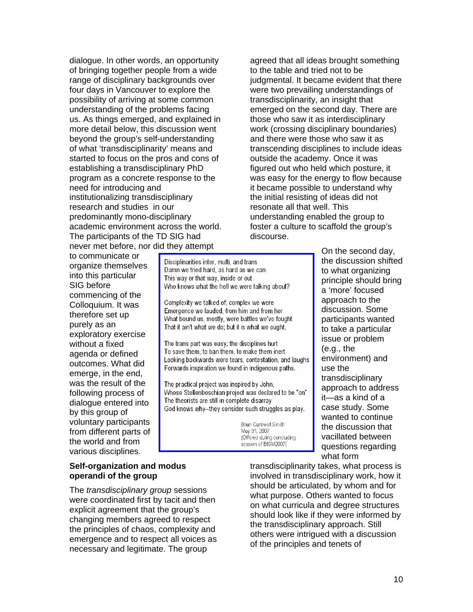dialogue. In other words, an opportunity of bringing together people from a wide range of disciplinary backgrounds over four days in Vancouver to explore the possibility of arriving at some common understanding of the problems facing us. As things emerged, and explained in more detail below, this discussion went beyond the group's self-understanding of what 'transdisciplinarity' means and started to focus on the pros and cons of establishing a transdisciplinary PhD program as a concrete response to the need for introducing and institutionalizing transdisciplinary research and studies in our predominantly mono-disciplinary academic environment across the world. The participants of the TD SIG had never met before, nor did they attempt

to communicate or organize themselves into this particular SIG before commencing of the Colloquium. It was therefore set up purely as an exploratory exercise without a fixed agenda or defined outcomes. What did emerge, in the end, was the result of the following process of dialogue entered into by this group of voluntary participants from different parts of the world and from various disciplines.

#### **Self-organization and modus operandi of the group**

The *transdisciplinary group* sessions were coordinated first by tacit and then explicit agreement that the group's changing members agreed to respect the principles of chaos, complexity and emergence and to respect all voices as necessary and legitimate. The group

agreed that all ideas brought something to the table and tried not to be judgmental. It became evident that there were two prevailing understandings of transdisciplinarity, an insight that emerged on the second day. There are those who saw it as interdisciplinary work (crossing disciplinary boundaries) and there were those who saw it as transcending disciplines to include ideas outside the academy. Once it was figured out who held which posture, it was easy for the energy to flow because it became possible to understand why the initial resisting of ideas did not resonate all that well. This understanding enabled the group to foster a culture to scaffold the group's discourse.

> On the second day, the discussion shifted to what organizing principle should bring a 'more' focused approach to the discussion. Some participants wanted to take a particular issue or problem (e.g., the environment) and use the transdisciplinary approach to address it—as a kind of a case study. Some wanted to continue the discussion that vacillated between questions regarding what form

Disciplinarities inter, multi, and trans Damn we tried hard, as hard as we can This way or that way, inside or out Who knows what the hell we were talking about?

Complexity we talked of; complex we were Emergence we lauded, from him and from her What bound us, mostly, were battles we've fought That it ain't what we do, but it is what we ought.

The trans part was easy; the disciplines hurt To save them, to ban them, to make them inert Looking backwards were tears, contestation, and laughs Forwards inspiration we found in indigenous paths.

The practical project was inspired by John, Whose Stellenboschian project was declared to be "on" The theorists are still in complete disarray God knows why--they consider such struggles as play.

> Brian Cantwell Smith May 31, 2007 (Offered during concluding session of BtSM2007)

> > transdisciplinarity takes, what process is involved in transdisciplinary work, how it should be articulated, by whom and for what purpose. Others wanted to focus on what curricula and degree structures should look like if they were informed by the transdisciplinary approach. Still others were intrigued with a discussion of the principles and tenets of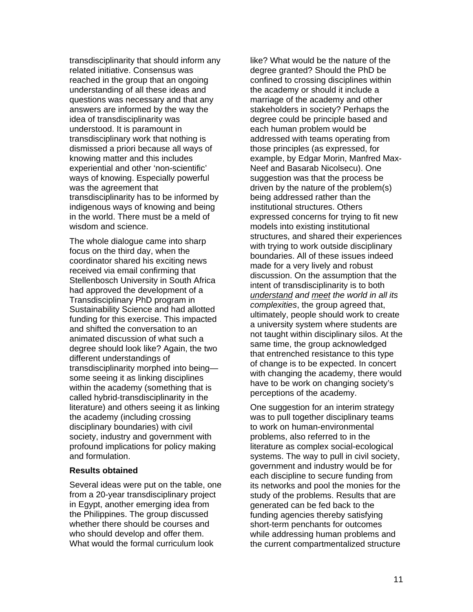transdisciplinarity that should inform any related initiative. Consensus was reached in the group that an ongoing understanding of all these ideas and questions was necessary and that any answers are informed by the way the idea of transdisciplinarity was understood. It is paramount in transdisciplinary work that nothing is dismissed a priori because all ways of knowing matter and this includes experiential and other 'non-scientific' ways of knowing. Especially powerful was the agreement that transdisciplinarity has to be informed by indigenous ways of knowing and being in the world. There must be a meld of wisdom and science.

The whole dialogue came into sharp focus on the third day, when the coordinator shared his exciting news received via email confirming that Stellenbosch University in South Africa had approved the development of a Transdisciplinary PhD program in Sustainability Science and had allotted funding for this exercise. This impacted and shifted the conversation to an animated discussion of what such a degree should look like? Again, the two different understandings of transdisciplinarity morphed into being some seeing it as linking disciplines within the academy (something that is called hybrid-transdisciplinarity in the literature) and others seeing it as linking the academy (including crossing disciplinary boundaries) with civil society, industry and government with profound implications for policy making and formulation.

#### **Results obtained**

Several ideas were put on the table, one from a 20-year transdisciplinary project in Egypt, another emerging idea from the Philippines. The group discussed whether there should be courses and who should develop and offer them. What would the formal curriculum look

like? What would be the nature of the degree granted? Should the PhD be confined to crossing disciplines within the academy or should it include a marriage of the academy and other stakeholders in society? Perhaps the degree could be principle based and each human problem would be addressed with teams operating from those principles (as expressed, for example, by Edgar Morin, Manfred Max-Neef and Basarab Nicolsecu). One suggestion was that the process be driven by the nature of the problem(s) being addressed rather than the institutional structures. Others expressed concerns for trying to fit new models into existing institutional structures, and shared their experiences with trying to work outside disciplinary boundaries. All of these issues indeed made for a very lively and robust discussion. On the assumption that the intent of transdisciplinarity is to both *understand and meet the world in all its complexities*, the group agreed that, ultimately, people should work to create a university system where students are not taught within disciplinary silos. At the same time, the group acknowledged that entrenched resistance to this type of change is to be expected. In concert with changing the academy, there would have to be work on changing society's perceptions of the academy.

One suggestion for an interim strategy was to pull together disciplinary teams to work on human-environmental problems, also referred to in the literature as complex social-ecological systems. The way to pull in civil society, government and industry would be for each discipline to secure funding from its networks and pool the monies for the study of the problems. Results that are generated can be fed back to the funding agencies thereby satisfying short-term penchants for outcomes while addressing human problems and the current compartmentalized structure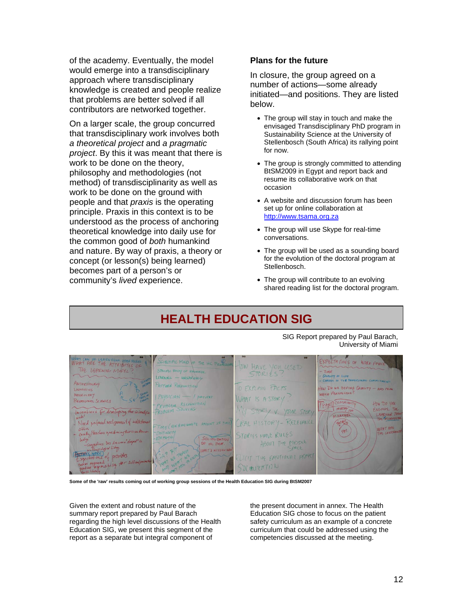of the academy. Eventually, the model would emerge into a transdisciplinary approach where transdisciplinary knowledge is created and people realize that problems are better solved if all contributors are networked together.

On a larger scale, the group concurred that transdisciplinary work involves both *a theoretical project* and *a pragmatic project*. By this it was meant that there is work to be done on the theory, philosophy and methodologies (not method) of transdisciplinarity as well as work to be done on the ground with people and that *praxis* is the operating principle. Praxis in this context is to be understood as the process of anchoring theoretical knowledge into daily use for the common good of *both* humankind and nature. By way of praxis, a theory or concept (or lesson(s) being learned) becomes part of a person's or community's *lived* experience.

#### **Plans for the future**

In closure, the group agreed on a number of actions—some already initiated—and positions. They are listed below.

- The group will stay in touch and make the envisaged Transdisciplinary PhD program in Sustainability Science at the University of Stellenbosch (South Africa) its rallying point for now.
- The group is strongly committed to attending BtSM2009 in Egypt and report back and resume its collaborative work on that occasion
- A website and discussion forum has been set up for online collaboration at http://www.tsama.org.za
- The group will use Skype for real-time conversations.
- The group will be used as a sounding board for the evolution of the doctoral program at Stellenbosch.
- The group will contribute to an evolving shared reading list for the doctoral program.

### **HEALTH EDUCATION SIG**

SIG Report prepared by Paul Barach, University of Miami

EXPECTATIONS OF WORK FO LEARN FROM OTHER SE  $000$ OW HAVE YOU USET THE LEARENING MODEL SPECIFIC BADY OF HALLIST STORIES  $LRRWA = MRRAWA$ QUALITY OF LIFE PATTERN RECONSTION O FXPLAIN FACTS **HIN DO WE DEFINE QUALITY** Livenistics PERSPELTING **NEUROLOGY**  $PHYSICIAN$  /  $parinN$ WHAT IS A STOR BEHAVIORAL PROBLEM RECOGNITION RY V. YOUR STOR AN ICROSSICA RAL HISTORY-RELEVANCE Need TIME (ANHPE ont STORIES HAVE RULES ABOUT THE MIDDLE HC PRA LICIT THE EMOTIONAL PRPE prandu. SOCIALIZATION

**Some of the 'raw' results coming out of working group sessions of the Health Education SIG during BtSM2007** 

Given the extent and robust nature of the summary report prepared by Paul Barach regarding the high level discussions of the Health Education SIG, we present this segment of the report as a separate but integral component of

the present document in annex. The Health Education SIG chose to focus on the patient safety curriculum as an example of a concrete curriculum that could be addressed using the competencies discussed at the meeting.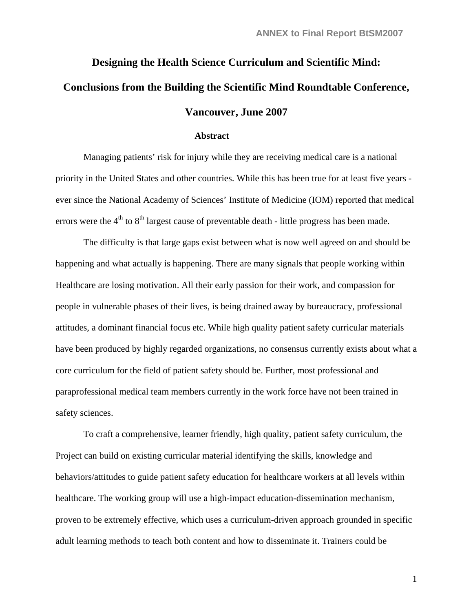## **Designing the Health Science Curriculum and Scientific Mind: Conclusions from the Building the Scientific Mind Roundtable Conference, Vancouver, June 2007**

#### **Abstract**

Managing patients' risk for injury while they are receiving medical care is a national priority in the United States and other countries. While this has been true for at least five years ever since the National Academy of Sciences' Institute of Medicine (IOM) reported that medical errors were the  $4<sup>th</sup>$  to  $8<sup>th</sup>$  largest cause of preventable death - little progress has been made.

The difficulty is that large gaps exist between what is now well agreed on and should be happening and what actually is happening. There are many signals that people working within Healthcare are losing motivation. All their early passion for their work, and compassion for people in vulnerable phases of their lives, is being drained away by bureaucracy, professional attitudes, a dominant financial focus etc. While high quality patient safety curricular materials have been produced by highly regarded organizations, no consensus currently exists about what a core curriculum for the field of patient safety should be. Further, most professional and paraprofessional medical team members currently in the work force have not been trained in safety sciences.

To craft a comprehensive, learner friendly, high quality, patient safety curriculum, the Project can build on existing curricular material identifying the skills, knowledge and behaviors/attitudes to guide patient safety education for healthcare workers at all levels within healthcare. The working group will use a high-impact education-dissemination mechanism, proven to be extremely effective, which uses a curriculum-driven approach grounded in specific adult learning methods to teach both content and how to disseminate it. Trainers could be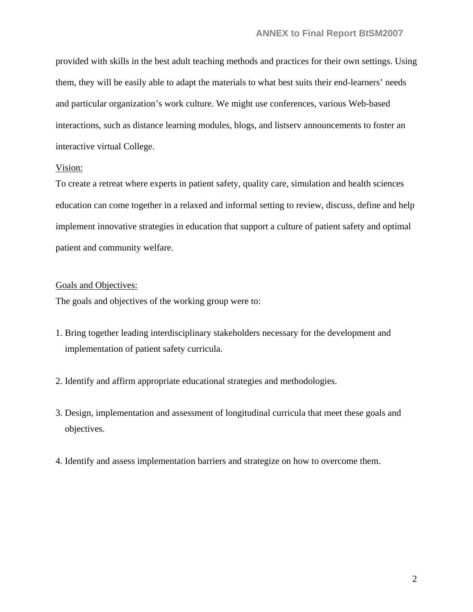provided with skills in the best adult teaching methods and practices for their own settings. Using them, they will be easily able to adapt the materials to what best suits their end-learners' needs and particular organization's work culture. We might use conferences, various Web-based interactions, such as distance learning modules, blogs, and listserv announcements to foster an interactive virtual College.

#### Vision:

To create a retreat where experts in patient safety, quality care, simulation and health sciences education can come together in a relaxed and informal setting to review, discuss, define and help implement innovative strategies in education that support a culture of patient safety and optimal patient and community welfare.

#### Goals and Objectives:

The goals and objectives of the working group were to:

- 1. Bring together leading interdisciplinary stakeholders necessary for the development and implementation of patient safety curricula.
- 2. Identify and affirm appropriate educational strategies and methodologies.
- 3. Design, implementation and assessment of longitudinal curricula that meet these goals and objectives.
- 4. Identify and assess implementation barriers and strategize on how to overcome them.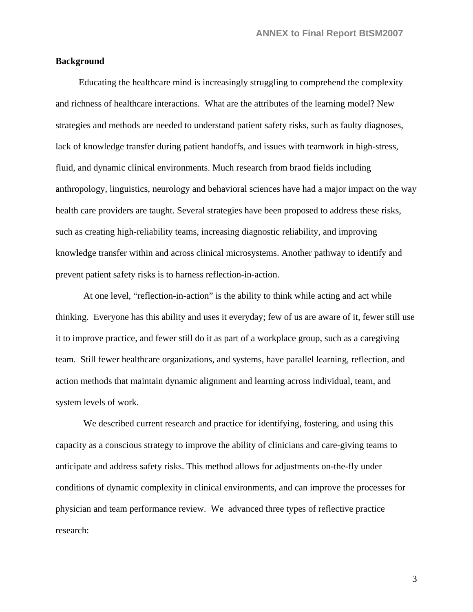#### **Background**

 Educating the healthcare mind is increasingly struggling to comprehend the complexity and richness of healthcare interactions. What are the attributes of the learning model? New strategies and methods are needed to understand patient safety risks, such as faulty diagnoses, lack of knowledge transfer during patient handoffs, and issues with teamwork in high-stress, fluid, and dynamic clinical environments. Much research from braod fields including anthropology, linguistics, neurology and behavioral sciences have had a major impact on the way health care providers are taught. Several strategies have been proposed to address these risks, such as creating high-reliability teams, increasing diagnostic reliability, and improving knowledge transfer within and across clinical microsystems. Another pathway to identify and prevent patient safety risks is to harness reflection-in-action.

At one level, "reflection-in-action" is the ability to think while acting and act while thinking. Everyone has this ability and uses it everyday; few of us are aware of it, fewer still use it to improve practice, and fewer still do it as part of a workplace group, such as a caregiving team. Still fewer healthcare organizations, and systems, have parallel learning, reflection, and action methods that maintain dynamic alignment and learning across individual, team, and system levels of work.

We described current research and practice for identifying, fostering, and using this capacity as a conscious strategy to improve the ability of clinicians and care-giving teams to anticipate and address safety risks. This method allows for adjustments on-the-fly under conditions of dynamic complexity in clinical environments, and can improve the processes for physician and team performance review. We advanced three types of reflective practice research: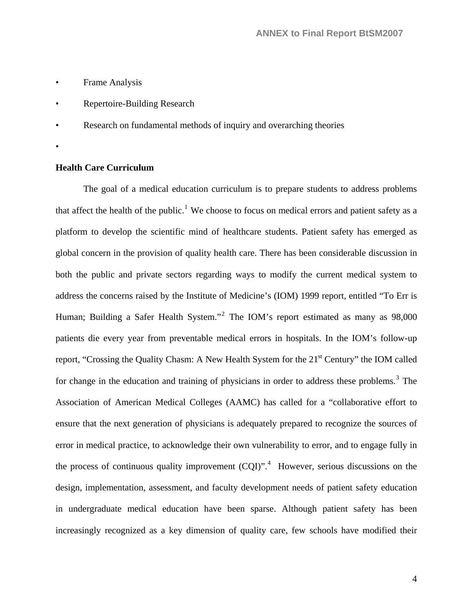- Frame Analysis
- Repertoire-Building Research
- Research on fundamental methods of inquiry and overarching theories
- •

#### **Health Care Curriculum**

The goal of a medical education curriculum is to prepare students to address problems that affect the health of the public.<sup>[1](#page-33-0)</sup> We choose to focus on medical errors and patient safety as a platform to develop the scientific mind of healthcare students. Patient safety has emerged as global concern in the provision of quality health care. There has been considerable discussion in both the public and private sectors regarding ways to modify the current medical system to address the concerns raised by the Institute of Medicine's (IOM) 1999 report, entitled "To Err is Human; Building a Safer Health System."<sup>[2](#page-33-1)</sup> The IOM's report estimated as many as 98,000 patients die every year from preventable medical errors in hospitals. In the IOM's follow-up report, "Crossing the Quality Chasm: A New Health System for the 21<sup>st</sup> Century" the IOM called for change in the education and training of physicians in order to address these problems.<sup>[3](#page-33-1)</sup> The Association of American Medical Colleges (AAMC) has called for a "collaborative effort to ensure that the next generation of physicians is adequately prepared to recognize the sources of error in medical practice, to acknowledge their own vulnerability to error, and to engage fully in the process of continuous quality improvement  $(CQI)$ ".<sup>[4](#page-33-1)</sup> However, serious discussions on the design, implementation, assessment, and faculty development needs of patient safety education in undergraduate medical education have been sparse. Although patient safety has been increasingly recognized as a key dimension of quality care, few schools have modified their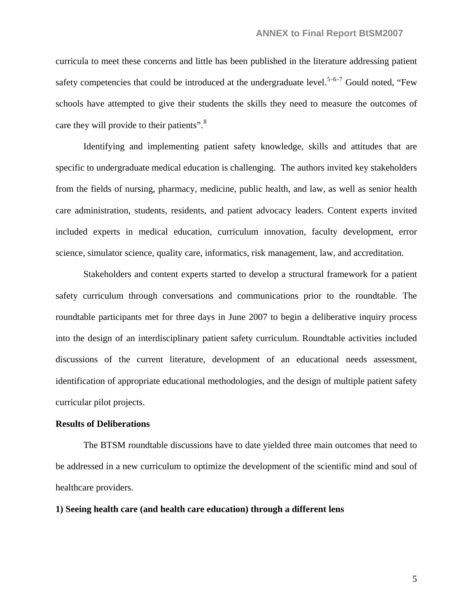curricula to meet these concerns and little has been published in the literature addressing patient safety competencies that could be introduced at the undergraduate level.<sup>[5](#page-33-1)-[6](#page-33-1)-[7](#page-33-1)</sup> Gould noted, "Few schools have attempted to give their students the skills they need to measure the outcomes of care they will provide to their patients".<sup>[8](#page-33-1)</sup>

Identifying and implementing patient safety knowledge, skills and attitudes that are specific to undergraduate medical education is challenging. The authors invited key stakeholders from the fields of nursing, pharmacy, medicine, public health, and law, as well as senior health care administration, students, residents, and patient advocacy leaders. Content experts invited included experts in medical education, curriculum innovation, faculty development, error science, simulator science, quality care, informatics, risk management, law, and accreditation.

Stakeholders and content experts started to develop a structural framework for a patient safety curriculum through conversations and communications prior to the roundtable. The roundtable participants met for three days in June 2007 to begin a deliberative inquiry process into the design of an interdisciplinary patient safety curriculum. Roundtable activities included discussions of the current literature, development of an educational needs assessment, identification of appropriate educational methodologies, and the design of multiple patient safety curricular pilot projects.

#### **Results of Deliberations**

The BTSM roundtable discussions have to date yielded three main outcomes that need to be addressed in a new curriculum to optimize the development of the scientific mind and soul of healthcare providers.

#### **1) Seeing health care (and health care education) through a different lens**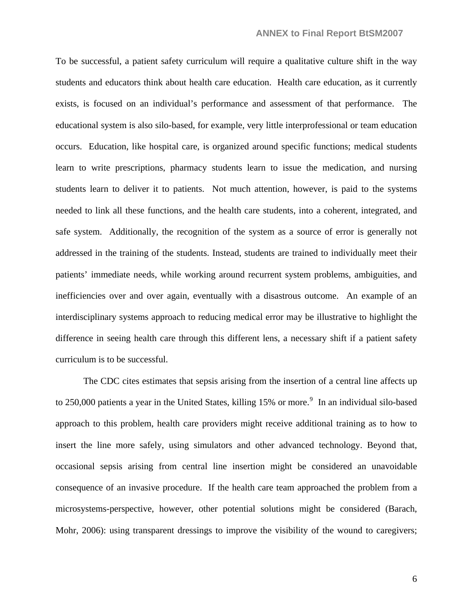To be successful, a patient safety curriculum will require a qualitative culture shift in the way students and educators think about health care education. Health care education, as it currently exists, is focused on an individual's performance and assessment of that performance. The educational system is also silo-based, for example, very little interprofessional or team education occurs. Education, like hospital care, is organized around specific functions; medical students learn to write prescriptions, pharmacy students learn to issue the medication, and nursing students learn to deliver it to patients. Not much attention, however, is paid to the systems needed to link all these functions, and the health care students, into a coherent, integrated, and safe system. Additionally, the recognition of the system as a source of error is generally not addressed in the training of the students. Instead, students are trained to individually meet their patients' immediate needs, while working around recurrent system problems, ambiguities, and inefficiencies over and over again, eventually with a disastrous outcome. An example of an interdisciplinary systems approach to reducing medical error may be illustrative to highlight the difference in seeing health care through this different lens, a necessary shift if a patient safety curriculum is to be successful.

 The CDC cites estimates that sepsis arising from the insertion of a central line affects up to 250,000 patients a year in the United States, killing  $15\%$  or more.<sup>[9](#page-33-1)</sup> In an individual silo-based approach to this problem, health care providers might receive additional training as to how to insert the line more safely, using simulators and other advanced technology. Beyond that, occasional sepsis arising from central line insertion might be considered an unavoidable consequence of an invasive procedure. If the health care team approached the problem from a microsystems-perspective, however, other potential solutions might be considered (Barach, Mohr, 2006): using transparent dressings to improve the visibility of the wound to caregivers;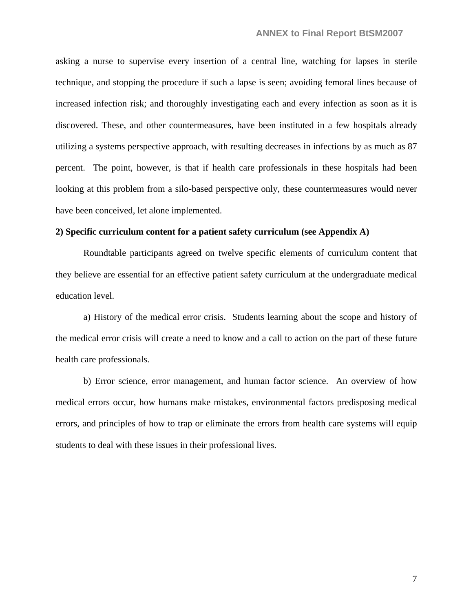asking a nurse to supervise every insertion of a central line, watching for lapses in sterile technique, and stopping the procedure if such a lapse is seen; avoiding femoral lines because of increased infection risk; and thoroughly investigating each and every infection as soon as it is discovered. These, and other countermeasures, have been instituted in a few hospitals already utilizing a systems perspective approach, with resulting decreases in infections by as much as 87 percent. The point, however, is that if health care professionals in these hospitals had been looking at this problem from a silo-based perspective only, these countermeasures would never have been conceived, let alone implemented.

#### **2) Specific curriculum content for a patient safety curriculum (see Appendix A)**

Roundtable participants agreed on twelve specific elements of curriculum content that they believe are essential for an effective patient safety curriculum at the undergraduate medical education level.

 a) History of the medical error crisis. Students learning about the scope and history of the medical error crisis will create a need to know and a call to action on the part of these future health care professionals.

 b) Error science, error management, and human factor science. An overview of how medical errors occur, how humans make mistakes, environmental factors predisposing medical errors, and principles of how to trap or eliminate the errors from health care systems will equip students to deal with these issues in their professional lives.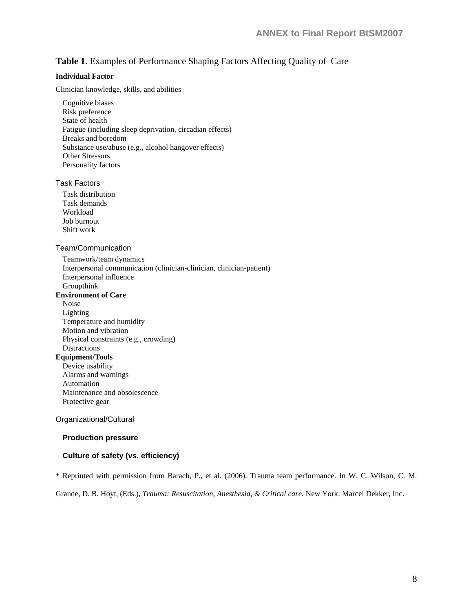#### **Table 1.** Examples of Performance Shaping Factors Affecting Quality of Care

#### **Individual Factor**

Clinician knowledge, skills, and abilities

Cognitive biases Risk preference State of health Fatigue (including sleep deprivation, circadian effects) Breaks and boredom Substance use/abuse (e.g., alcohol hangover effects) Other Stressors Personality factors

#### Task Factors

Task distribution Task demands Workload Job burnout Shift work

#### Team/Communication

 Teamwork/team dynamics Interpersonal communication (clinician-clinician, clinician-patient) Interpersonal influence Groupthink **Environment of Care**  Noise

- Lighting Temperature and humidity Motion and vibration Physical constraints (e.g., crowding) **Distractions Equipment/Tools** 
	- Device usability Alarms and warnings Automation Maintenance and obsolescence Protective gear

#### Organizational/Cultural

#### **Production pressure**

#### **Culture of safety (vs. efficiency)**

\* Reprinted with permission from Barach, P., et al. (2006). Trauma team performance. In W. C. Wilson, C. M.

Grande, D. B. Hoyt, (Eds.), *Trauma: Resuscitation, Anesthesia, & Critical care.* New York: Marcel Dekker, Inc.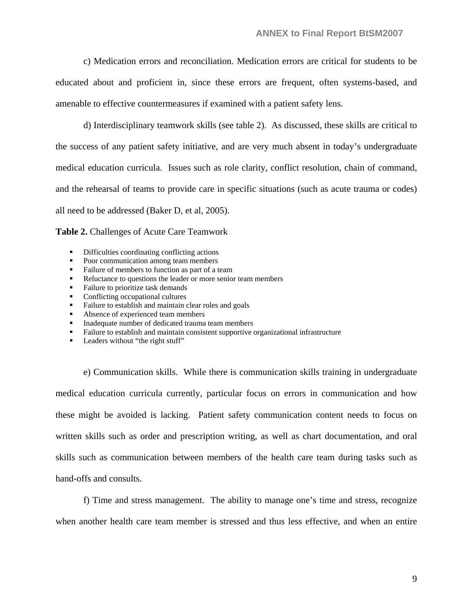c) Medication errors and reconciliation. Medication errors are critical for students to be educated about and proficient in, since these errors are frequent, often systems-based, and amenable to effective countermeasures if examined with a patient safety lens.

 d) Interdisciplinary teamwork skills (see table 2). As discussed, these skills are critical to the success of any patient safety initiative, and are very much absent in today's undergraduate medical education curricula. Issues such as role clarity, conflict resolution, chain of command, and the rehearsal of teams to provide care in specific situations (such as acute trauma or codes) all need to be addressed (Baker D, et al, 2005).

**Table 2.** Challenges of Acute Care Teamwork

- Difficulties coordinating conflicting actions
- Poor communication among team members
- Failure of members to function as part of a team
- Reluctance to questions the leader or more senior team members
- Failure to prioritize task demands
- Conflicting occupational cultures<br>• Failure to establish and maintain  $\alpha$
- Failure to establish and maintain clear roles and goals
- Absence of experienced team members
- **Inadequate number of dedicated trauma team members**
- **Failure to establish and maintain consistent supportive organizational infrastructure**
- Leaders without "the right stuff"

 e) Communication skills. While there is communication skills training in undergraduate medical education curricula currently, particular focus on errors in communication and how these might be avoided is lacking. Patient safety communication content needs to focus on written skills such as order and prescription writing, as well as chart documentation, and oral skills such as communication between members of the health care team during tasks such as hand-offs and consults.

 f) Time and stress management. The ability to manage one's time and stress, recognize when another health care team member is stressed and thus less effective, and when an entire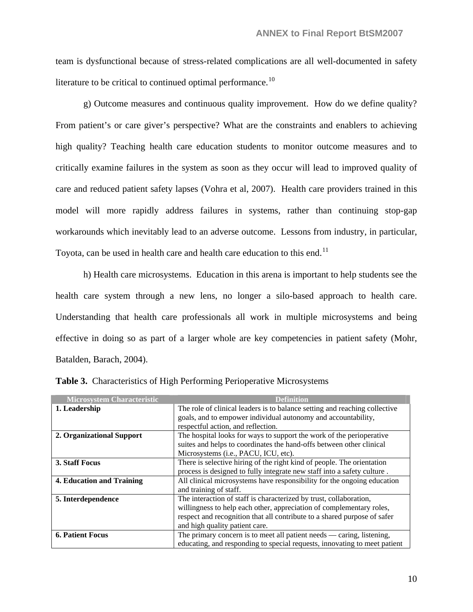team is dysfunctional because of stress-related complications are all well-documented in safety literature to be critical to continued optimal performance.<sup>[10](#page-33-1)</sup>

 g) Outcome measures and continuous quality improvement. How do we define quality? From patient's or care giver's perspective? What are the constraints and enablers to achieving high quality? Teaching health care education students to monitor outcome measures and to critically examine failures in the system as soon as they occur will lead to improved quality of care and reduced patient safety lapses (Vohra et al, 2007). Health care providers trained in this model will more rapidly address failures in systems, rather than continuing stop-gap workarounds which inevitably lead to an adverse outcome. Lessons from industry, in particular, Toyota, can be used in health care and health care education to this end.<sup>[11](#page-33-1)</sup>

 h) Health care microsystems. Education in this arena is important to help students see the health care system through a new lens, no longer a silo-based approach to health care. Understanding that health care professionals all work in multiple microsystems and being effective in doing so as part of a larger whole are key competencies in patient safety (Mohr, Batalden, Barach, 2004).

| <b>Microsystem Characteristic</b> | <b>Definition</b>                                                          |
|-----------------------------------|----------------------------------------------------------------------------|
| 1. Leadership                     | The role of clinical leaders is to balance setting and reaching collective |
|                                   | goals, and to empower individual autonomy and accountability,              |
|                                   | respectful action, and reflection.                                         |
| 2. Organizational Support         | The hospital looks for ways to support the work of the perioperative       |
|                                   | suites and helps to coordinates the hand-offs between other clinical       |
|                                   | Microsystems (i.e., PACU, ICU, etc).                                       |
| 3. Staff Focus                    | There is selective hiring of the right kind of people. The orientation     |
|                                   | process is designed to fully integrate new staff into a safety culture.    |
| 4. Education and Training         | All clinical microsystems have responsibility for the ongoing education    |
|                                   | and training of staff.                                                     |
| 5. Interdependence                | The interaction of staff is characterized by trust, collaboration,         |
|                                   | willingness to help each other, appreciation of complementary roles,       |
|                                   | respect and recognition that all contribute to a shared purpose of safer   |
|                                   | and high quality patient care.                                             |
| <b>6. Patient Focus</b>           | The primary concern is to meet all patient needs — caring, listening,      |
|                                   | educating, and responding to special requests, innovating to meet patient  |

**Table 3.** Characteristics of High Performing Perioperative Microsystems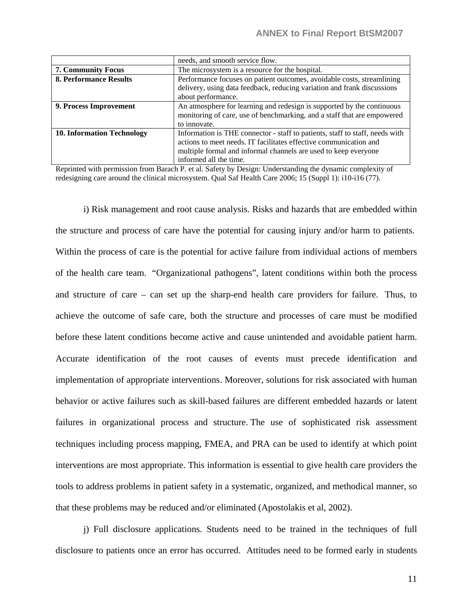|                                   | needs, and smooth service flow.                                              |
|-----------------------------------|------------------------------------------------------------------------------|
| <b>7. Community Focus</b>         | The microsystem is a resource for the hospital.                              |
| <b>8. Performance Results</b>     | Performance focuses on patient outcomes, avoidable costs, streamlining       |
|                                   | delivery, using data feedback, reducing variation and frank discussions      |
|                                   | about performance.                                                           |
| 9. Process Improvement            | An atmosphere for learning and redesign is supported by the continuous       |
|                                   | monitoring of care, use of benchmarking, and a staff that are empowered      |
|                                   | to innovate.                                                                 |
| <b>10. Information Technology</b> | Information is THE connector - staff to patients, staff to staff, needs with |
|                                   | actions to meet needs. IT facilitates effective communication and            |
|                                   | multiple formal and informal channels are used to keep everyone              |
|                                   | informed all the time.                                                       |

Reprinted with permission from Barach P. et al. Safety by Design: Understanding the dynamic complexity of redesigning care around the clinical microsystem. Qual Saf Health Care 2006; 15 (Suppl 1): i10-i16 (77).

 i) Risk management and root cause analysis. Risks and hazards that are embedded within the structure and process of care have the potential for causing injury and/or harm to patients. Within the process of care is the potential for active failure from individual actions of members of the health care team. "Organizational pathogens", latent conditions within both the process and structure of care – can set up the sharp-end health care providers for failure. Thus, to achieve the outcome of safe care, both the structure and processes of care must be modified before these latent conditions become active and cause unintended and avoidable patient harm. Accurate identification of the root causes of events must precede identification and implementation of appropriate interventions. Moreover, solutions for risk associated with human behavior or active failures such as skill-based failures are different embedded hazards or latent failures in organizational process and structure. The use of sophisticated risk assessment techniques including process mapping, FMEA, and PRA can be used to identify at which point interventions are most appropriate. This information is essential to give health care providers the tools to address problems in patient safety in a systematic, organized, and methodical manner, so that these problems may be reduced and/or eliminated (Apostolakis et al, 2002).

 j) Full disclosure applications. Students need to be trained in the techniques of full disclosure to patients once an error has occurred. Attitudes need to be formed early in students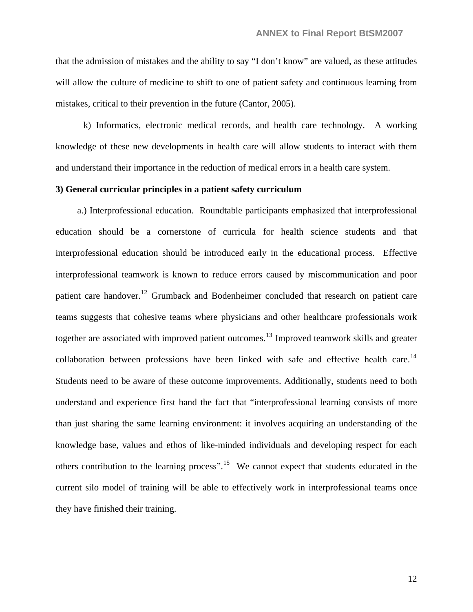that the admission of mistakes and the ability to say "I don't know" are valued, as these attitudes will allow the culture of medicine to shift to one of patient safety and continuous learning from mistakes, critical to their prevention in the future (Cantor, 2005).

 k) Informatics, electronic medical records, and health care technology. A working knowledge of these new developments in health care will allow students to interact with them and understand their importance in the reduction of medical errors in a health care system.

#### **3) General curricular principles in a patient safety curriculum**

 a.) Interprofessional education. Roundtable participants emphasized that interprofessional education should be a cornerstone of curricula for health science students and that interprofessional education should be introduced early in the educational process. Effective interprofessional teamwork is known to reduce errors caused by miscommunication and poor patient care handover.<sup>[12](#page-33-1)</sup> Grumback and Bodenheimer concluded that research on patient care teams suggests that cohesive teams where physicians and other healthcare professionals work together are associated with improved patient outcomes.<sup>[13](#page-33-1)</sup> Improved teamwork skills and greater collaboration between professions have been linked with safe and effective health care.<sup>[14](#page-33-1)</sup> Students need to be aware of these outcome improvements. Additionally, students need to both understand and experience first hand the fact that "interprofessional learning consists of more than just sharing the same learning environment: it involves acquiring an understanding of the knowledge base, values and ethos of like-minded individuals and developing respect for each others contribution to the learning process".<sup>[15](#page-33-1)</sup> We cannot expect that students educated in the current silo model of training will be able to effectively work in interprofessional teams once they have finished their training.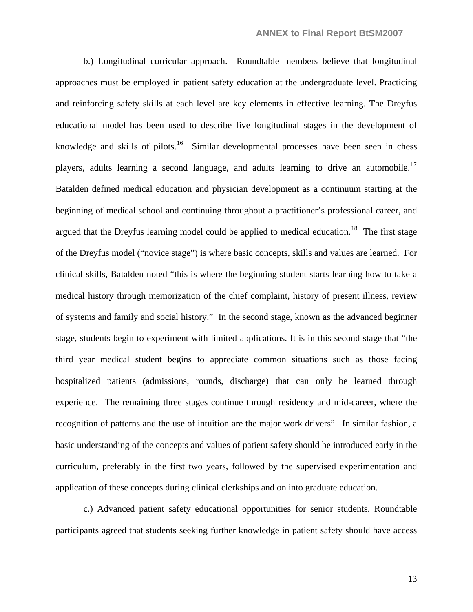b.) Longitudinal curricular approach. Roundtable members believe that longitudinal approaches must be employed in patient safety education at the undergraduate level. Practicing and reinforcing safety skills at each level are key elements in effective learning. The Dreyfus educational model has been used to describe five longitudinal stages in the development of knowledge and skills of pilots.<sup>[16](#page-33-1)</sup> Similar developmental processes have been seen in chess players, adults learning a second language, and adults learning to drive an automobile.<sup>[17](#page-33-1)</sup> Batalden defined medical education and physician development as a continuum starting at the beginning of medical school and continuing throughout a practitioner's professional career, and argued that the Dreyfus learning model could be applied to medical education.<sup>[18](#page-33-1)</sup> The first stage of the Dreyfus model ("novice stage") is where basic concepts, skills and values are learned. For clinical skills, Batalden noted "this is where the beginning student starts learning how to take a medical history through memorization of the chief complaint, history of present illness, review of systems and family and social history." In the second stage, known as the advanced beginner stage, students begin to experiment with limited applications. It is in this second stage that "the third year medical student begins to appreciate common situations such as those facing hospitalized patients (admissions, rounds, discharge) that can only be learned through experience. The remaining three stages continue through residency and mid-career, where the recognition of patterns and the use of intuition are the major work drivers". In similar fashion, a basic understanding of the concepts and values of patient safety should be introduced early in the curriculum, preferably in the first two years, followed by the supervised experimentation and application of these concepts during clinical clerkships and on into graduate education.

c.) Advanced patient safety educational opportunities for senior students. Roundtable participants agreed that students seeking further knowledge in patient safety should have access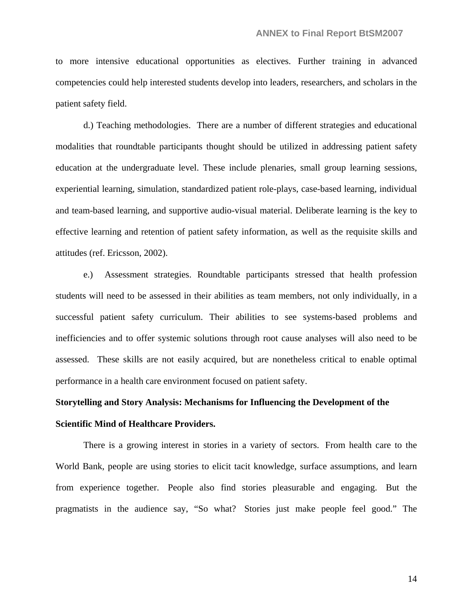to more intensive educational opportunities as electives. Further training in advanced competencies could help interested students develop into leaders, researchers, and scholars in the patient safety field.

d.) Teaching methodologies. There are a number of different strategies and educational modalities that roundtable participants thought should be utilized in addressing patient safety education at the undergraduate level. These include plenaries, small group learning sessions, experiential learning, simulation, standardized patient role-plays, case-based learning, individual and team-based learning, and supportive audio-visual material. Deliberate learning is the key to effective learning and retention of patient safety information, as well as the requisite skills and attitudes (ref. Ericsson, 2002).

e.) Assessment strategies. Roundtable participants stressed that health profession students will need to be assessed in their abilities as team members, not only individually, in a successful patient safety curriculum. Their abilities to see systems-based problems and inefficiencies and to offer systemic solutions through root cause analyses will also need to be assessed. These skills are not easily acquired, but are nonetheless critical to enable optimal performance in a health care environment focused on patient safety.

### **Storytelling and Story Analysis: Mechanisms for Influencing the Development of the Scientific Mind of Healthcare Providers.**

There is a growing interest in stories in a variety of sectors. From health care to the World Bank, people are using stories to elicit tacit knowledge, surface assumptions, and learn from experience together. People also find stories pleasurable and engaging. But the pragmatists in the audience say, "So what? Stories just make people feel good." The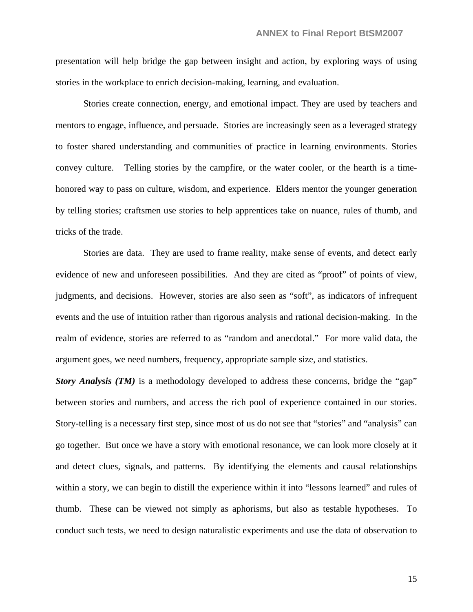presentation will help bridge the gap between insight and action, by exploring ways of using stories in the workplace to enrich decision-making, learning, and evaluation.

 Stories create connection, energy, and emotional impact. They are used by teachers and mentors to engage, influence, and persuade. Stories are increasingly seen as a leveraged strategy to foster shared understanding and communities of practice in learning environments. Stories convey culture. Telling stories by the campfire, or the water cooler, or the hearth is a timehonored way to pass on culture, wisdom, and experience. Elders mentor the younger generation by telling stories; craftsmen use stories to help apprentices take on nuance, rules of thumb, and tricks of the trade.

 Stories are data. They are used to frame reality, make sense of events, and detect early evidence of new and unforeseen possibilities. And they are cited as "proof" of points of view, judgments, and decisions. However, stories are also seen as "soft", as indicators of infrequent events and the use of intuition rather than rigorous analysis and rational decision-making. In the realm of evidence, stories are referred to as "random and anecdotal." For more valid data, the argument goes, we need numbers, frequency, appropriate sample size, and statistics.

*Story Analysis (TM)* is a methodology developed to address these concerns, bridge the "gap" between stories and numbers, and access the rich pool of experience contained in our stories. Story-telling is a necessary first step, since most of us do not see that "stories" and "analysis" can go together. But once we have a story with emotional resonance, we can look more closely at it and detect clues, signals, and patterns. By identifying the elements and causal relationships within a story, we can begin to distill the experience within it into "lessons learned" and rules of thumb. These can be viewed not simply as aphorisms, but also as testable hypotheses. To conduct such tests, we need to design naturalistic experiments and use the data of observation to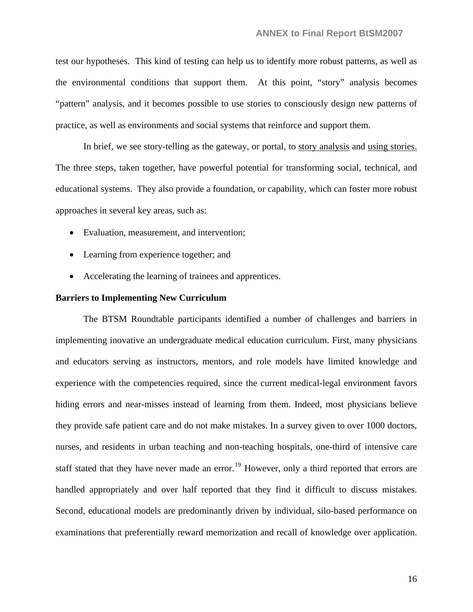test our hypotheses. This kind of testing can help us to identify more robust patterns, as well as the environmental conditions that support them. At this point, "story" analysis becomes "pattern" analysis, and it becomes possible to use stories to consciously design new patterns of practice, as well as environments and social systems that reinforce and support them.

 In brief, we see story-telling as the gateway, or portal, to story analysis and using stories. The three steps, taken together, have powerful potential for transforming social, technical, and educational systems. They also provide a foundation, or capability, which can foster more robust approaches in several key areas, such as:

- Evaluation, measurement, and intervention;
- Learning from experience together; and
- Accelerating the learning of trainees and apprentices.

#### **Barriers to Implementing New Curriculum**

The BTSM Roundtable participants identified a number of challenges and barriers in implementing inovative an undergraduate medical education curriculum. First, many physicians and educators serving as instructors, mentors, and role models have limited knowledge and experience with the competencies required, since the current medical-legal environment favors hiding errors and near-misses instead of learning from them. Indeed, most physicians believe they provide safe patient care and do not make mistakes. In a survey given to over 1000 doctors, nurses, and residents in urban teaching and non-teaching hospitals, one-third of intensive care staff stated that they have never made an error.<sup>[19](#page-33-1)</sup> However, only a third reported that errors are handled appropriately and over half reported that they find it difficult to discuss mistakes. Second, educational models are predominantly driven by individual, silo-based performance on examinations that preferentially reward memorization and recall of knowledge over application.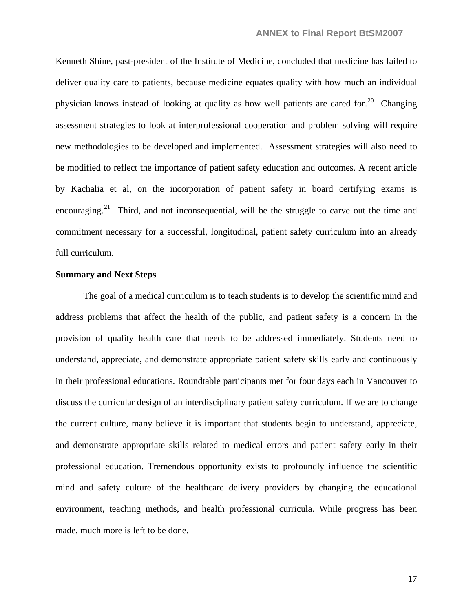Kenneth Shine, past-president of the Institute of Medicine, concluded that medicine has failed to deliver quality care to patients, because medicine equates quality with how much an individual physician knows instead of looking at quality as how well patients are cared for.<sup>[20](#page-33-1)</sup> Changing assessment strategies to look at interprofessional cooperation and problem solving will require new methodologies to be developed and implemented. Assessment strategies will also need to be modified to reflect the importance of patient safety education and outcomes. A recent article by Kachalia et al, on the incorporation of patient safety in board certifying exams is encouraging.<sup>[21](#page-33-1)</sup> Third, and not inconsequential, will be the struggle to carve out the time and commitment necessary for a successful, longitudinal, patient safety curriculum into an already full curriculum.

#### **Summary and Next Steps**

The goal of a medical curriculum is to teach students is to develop the scientific mind and address problems that affect the health of the public, and patient safety is a concern in the provision of quality health care that needs to be addressed immediately. Students need to understand, appreciate, and demonstrate appropriate patient safety skills early and continuously in their professional educations. Roundtable participants met for four days each in Vancouver to discuss the curricular design of an interdisciplinary patient safety curriculum. If we are to change the current culture, many believe it is important that students begin to understand, appreciate, and demonstrate appropriate skills related to medical errors and patient safety early in their professional education. Tremendous opportunity exists to profoundly influence the scientific mind and safety culture of the healthcare delivery providers by changing the educational environment, teaching methods, and health professional curricula. While progress has been made, much more is left to be done.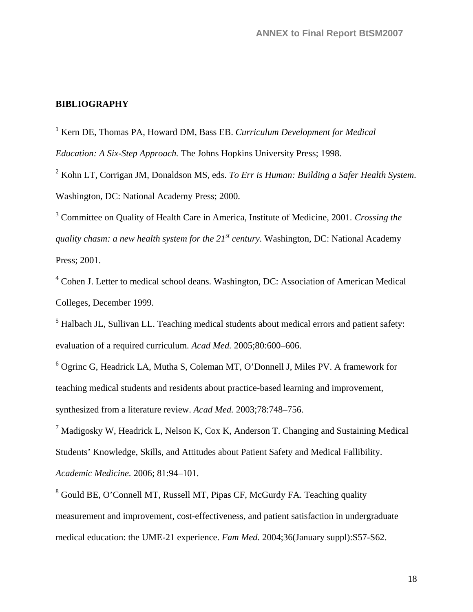#### **BIBLIOGRAPHY**

 $\overline{a}$ 

<sup>1</sup> Kern DE, Thomas PA, Howard DM, Bass EB. Curriculum Development for Medical

*Education: A Six-Step Approach.* The Johns Hopkins University Press; 1998.

2 Kohn LT, Corrigan JM, Donaldson MS, eds. *To Err is Human: Building a Safer Health System*. Washington, DC: National Academy Press; 2000.

3 Committee on Quality of Health Care in America, Institute of Medicine, 2001*. Crossing the quality chasm: a new health system for the 21<sup>st</sup> century.* Washington, DC: National Academy Press; 2001.

<sup>4</sup> Cohen J. Letter to medical school deans. Washington, DC: Association of American Medical Colleges, December 1999.

 $<sup>5</sup>$  Halbach JL, Sullivan LL. Teaching medical students about medical errors and patient safety:</sup> evaluation of a required curriculum. *Acad Med.* 2005;80:600–606.

6 Ogrinc G, Headrick LA, Mutha S, Coleman MT, O'Donnell J, Miles PV. A framework for teaching medical students and residents about practice-based learning and improvement, synthesized from a literature review. *Acad Med.* 2003;78:748–756.

 $7$  Madigosky W, Headrick L, Nelson K, Cox K, Anderson T. Changing and Sustaining Medical Students' Knowledge, Skills, and Attitudes about Patient Safety and Medical Fallibility. *Academic Medicine.* 2006; 81:94–101.

<sup>8</sup> Gould BE, O'Connell MT, Russell MT, Pipas CF, McGurdy FA. Teaching quality measurement and improvement, cost-effectiveness, and patient satisfaction in undergraduate medical education: the UME-21 experience. *Fam Med.* 2004;36(January suppl):S57-S62.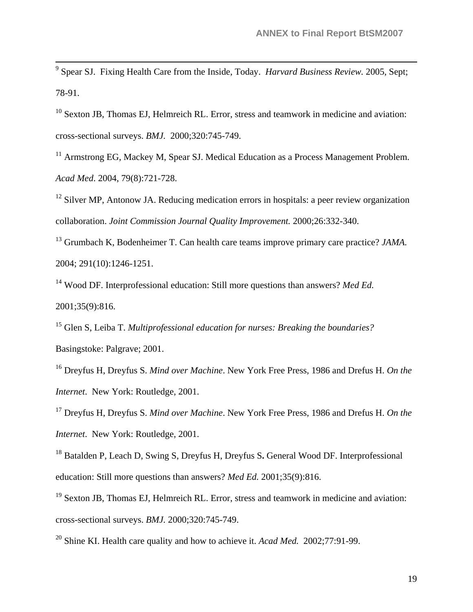9 Spear SJ. Fixing Health Care from the Inside, Today. *Harvard Business Review.* 2005, Sept; 78-91.

<sup>10</sup> Sexton JB, Thomas EJ, Helmreich RL. Error, stress and teamwork in medicine and aviation: cross-sectional surveys. *BMJ.* 2000;320:745-749.

<sup>11</sup> Armstrong EG, Mackey M, Spear SJ. Medical Education as a Process Management Problem. *Acad Med*. 2004, 79(8):721-728.

 $12$  Silver MP, Antonow JA. Reducing medication errors in hospitals: a peer review organization collaboration. *Joint Commission Journal Quality Improvement.* 2000;26:332-340.

13 Grumbach K, Bodenheimer T. Can health care teams improve primary care practice? *JAMA.* 2004; 291(10):1246-1251.

14 Wood DF. Interprofessional education: Still more questions than answers? *Med Ed.* 2001;35(9):816.

15 Glen S, Leiba T. *Multiprofessional education for nurses: Breaking the boundaries?* Basingstoke: Palgrave; 2001.

16 Dreyfus H, Dreyfus S. *Mind over Machine*. New York Free Press, 1986 and Drefus H. *On the Internet*. New York: Routledge, 2001.

17 Dreyfus H, Dreyfus S. *Mind over Machine*. New York Free Press, 1986 and Drefus H. *On the Internet*. New York: Routledge, 2001.

18 Batalden P, Leach D, Swing S, Dreyfus H, Dreyfus S**.** General Wood DF. Interprofessional education: Still more questions than answers? *Med Ed.* 2001;35(9):816.

 $19$  Sexton JB, Thomas EJ, Helmreich RL. Error, stress and teamwork in medicine and aviation: cross-sectional surveys. *BMJ.* 2000;320:745-749.

20 Shine KI. Health care quality and how to achieve it. *Acad Med.* 2002;77:91-99.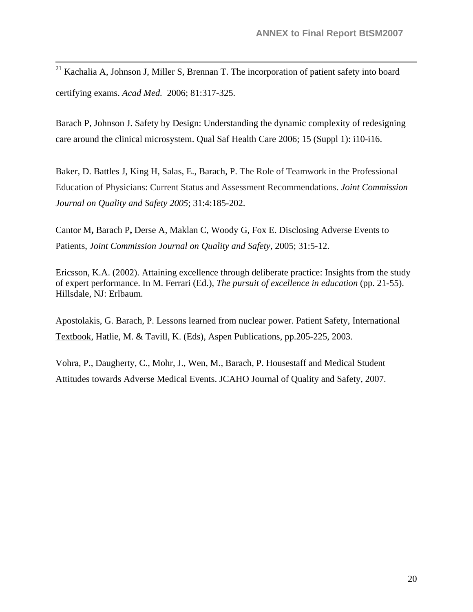<sup>21</sup> Kachalia A, Johnson J, Miller S, Brennan T. The incorporation of patient safety into board certifying exams. *Acad Med.* 2006; 81:317-325.

Barach P, Johnson J. Safety by Design: Understanding the dynamic complexity of redesigning care around the clinical microsystem. Qual Saf Health Care 2006; 15 (Suppl 1): i10-i16.

Baker, D. Battles J, King H, Salas, E., Barach, P. The Role of Teamwork in the Professional Education of Physicians: Current Status and Assessment Recommendations. *Joint Commission Journal on Quality and Safety 2005*; 31:4:185-202.

Cantor M**,** Barach P**,** Derse A, Maklan C, Woody G, Fox E. [Disclosing Adverse Events to](http://www.jcrinc.com/subscribers/journal.asp?durki=8744&site=14&return=8739)  [Patients,](http://www.jcrinc.com/subscribers/journal.asp?durki=8744&site=14&return=8739) *Joint Commission Journal on Quality and Safety*, 2005; 31:5-12.

Ericsson, K.A. (2002). Attaining excellence through deliberate practice: Insights from the study of expert performance. In M. Ferrari (Ed.), *The pursuit of excellence in education* (pp. 21-55). Hillsdale, NJ: Erlbaum.

Apostolakis, G. Barach, P. Lessons learned from nuclear power. Patient Safety, International Textbook, Hatlie, M. & Tavill, K. (Eds), Aspen Publications, pp.205-225, 2003.

Vohra, P., Daugherty, C., Mohr, J., Wen, M., Barach, P. Housestaff and Medical Student Attitudes towards Adverse Medical Events. JCAHO Journal of Quality and Safety, 2007.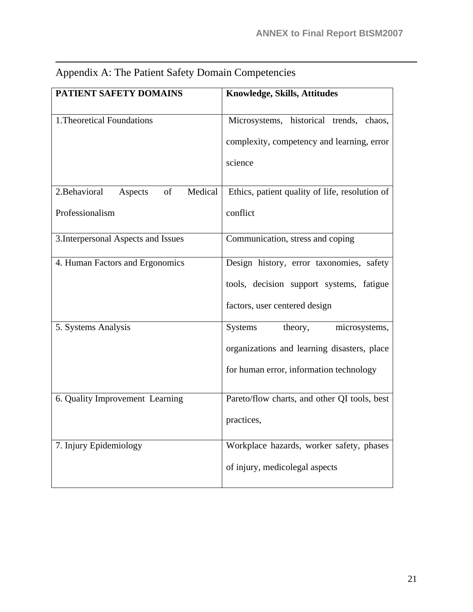| PATIENT SAFETY DOMAINS                    | <b>Knowledge, Skills, Attitudes</b>            |
|-------------------------------------------|------------------------------------------------|
|                                           |                                                |
| 1. Theoretical Foundations                | Microsystems, historical trends, chaos,        |
|                                           | complexity, competency and learning, error     |
|                                           | science                                        |
| 2. Behavioral<br>of<br>Medical<br>Aspects | Ethics, patient quality of life, resolution of |
| Professionalism                           | conflict                                       |
| 3. Interpersonal Aspects and Issues       | Communication, stress and coping               |
| 4. Human Factors and Ergonomics           | Design history, error taxonomies, safety       |
|                                           | tools, decision support systems, fatigue       |
|                                           | factors, user centered design                  |
| 5. Systems Analysis                       | <b>Systems</b><br>theory,<br>microsystems,     |
|                                           | organizations and learning disasters, place    |
|                                           | for human error, information technology        |
| 6. Quality Improvement Learning           | Pareto/flow charts, and other QI tools, best   |
|                                           | practices,                                     |
| 7. Injury Epidemiology                    | Workplace hazards, worker safety, phases       |
|                                           | of injury, medicolegal aspects                 |

### Appendix A: The Patient Safety Domain Competencies

 $\overline{a}$